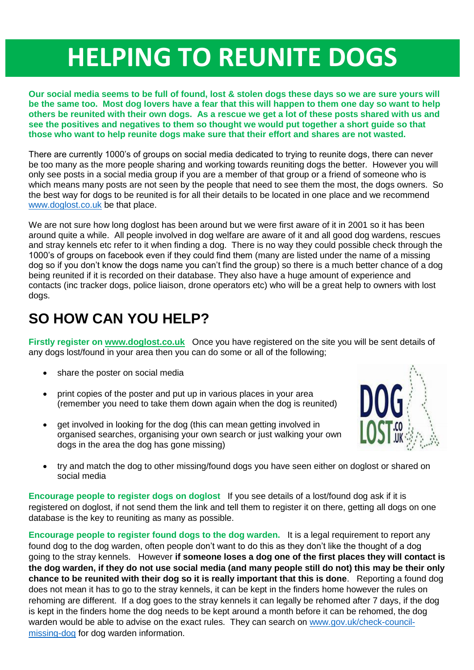## **HELPING TO REUNITE DOGS**

**Our social media seems to be full of found, lost & stolen dogs these days so we are sure yours will be the same too. Most dog lovers have a fear that this will happen to them one day so want to help others be reunited with their own dogs. As a rescue we get a lot of these posts shared with us and see the positives and negatives to them so thought we would put together a short guide so that those who want to help reunite dogs make sure that their effort and shares are not wasted.**

There are currently 1000's of groups on social media dedicated to trying to reunite dogs, there can never be too many as the more people sharing and working towards reuniting dogs the better. However you will only see posts in a social media group if you are a member of that group or a friend of someone who is which means many posts are not seen by the people that need to see them the most, the dogs owners. So the best way for dogs to be reunited is for all their details to be located in one place and we recommend [www.doglost.co.uk](http://www.doglost.co.uk/) be that place.

We are not sure how long doglost has been around but we were first aware of it in 2001 so it has been around quite a while. All people involved in dog welfare are aware of it and all good dog wardens, rescues and stray kennels etc refer to it when finding a dog. There is no way they could possible check through the 1000's of groups on facebook even if they could find them (many are listed under the name of a missing dog so if you don't know the dogs name you can't find the group) so there is a much better chance of a dog being reunited if it is recorded on their database. They also have a huge amount of experience and contacts (inc tracker dogs, police liaison, drone operators etc) who will be a great help to owners with lost dogs.

## **SO HOW CAN YOU HELP?**

**Firstly register on [www.doglost.co.uk](http://www.doglost.co.uk/)** Once you have registered on the site you will be sent details of any dogs lost/found in your area then you can do some or all of the following;

- share the poster on social media
- print copies of the poster and put up in various places in your area (remember you need to take them down again when the dog is reunited)
- get involved in looking for the dog (this can mean getting involved in organised searches, organising your own search or just walking your own dogs in the area the dog has gone missing)



 try and match the dog to other missing/found dogs you have seen either on doglost or shared on social media

**Encourage people to register dogs on doglost** If you see details of a lost/found dog ask if it is registered on doglost, if not send them the link and tell them to register it on there, getting all dogs on one database is the key to reuniting as many as possible.

**Encourage people to register found dogs to the dog warden.** It is a legal requirement to report any found dog to the dog warden, often people don't want to do this as they don't like the thought of a dog going to the stray kennels. However **if someone loses a dog one of the first places they will contact is the dog warden, if they do not use social media (and many people still do not) this may be their only chance to be reunited with their dog so it is really important that this is done**. Reporting a found dog does not mean it has to go to the stray kennels, it can be kept in the finders home however the rules on rehoming are different. If a dog goes to the stray kennels it can legally be rehomed after 7 days, if the dog is kept in the finders home the dog needs to be kept around a month before it can be rehomed, the dog warden would be able to advise on the exact rules. They can search on [www.gov.uk/check-council](www.gov.uk/check-council-missing-dog)[missing-dog](www.gov.uk/check-council-missing-dog) for dog warden information.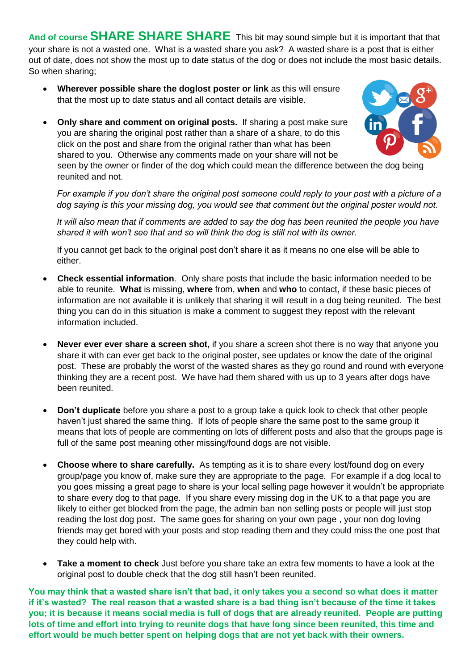**And of course SHARE SHARE SHARE** This bit may sound simple but it is important that that your share is not a wasted one. What is a wasted share you ask? A wasted share is a post that is either out of date, does not show the most up to date status of the dog or does not include the most basic details. So when sharing;

- **Wherever possible share the doglost poster or link** as this will ensure that the most up to date status and all contact details are visible.
- **Only share and comment on original posts.** If sharing a post make sure you are sharing the original post rather than a share of a share, to do this click on the post and share from the original rather than what has been shared to you. Otherwise any comments made on your share will not be

seen by the owner or finder of the dog which could mean the difference between the dog being reunited and not.

*For example if you don't share the original post someone could reply to your post with a picture of a dog saying is this your missing dog, you would see that comment but the original poster would not.*

*It will also mean that if comments are added to say the dog has been reunited the people you have shared it with won't see that and so will think the dog is still not with its owner.*

If you cannot get back to the original post don't share it as it means no one else will be able to either.

- **Check essential information**. Only share posts that include the basic information needed to be able to reunite. **What** is missing, **where** from, **when** and **who** to contact, if these basic pieces of information are not available it is unlikely that sharing it will result in a dog being reunited. The best thing you can do in this situation is make a comment to suggest they repost with the relevant information included.
- **Never ever ever share a screen shot,** if you share a screen shot there is no way that anyone you share it with can ever get back to the original poster, see updates or know the date of the original post. These are probably the worst of the wasted shares as they go round and round with everyone thinking they are a recent post. We have had them shared with us up to 3 years after dogs have been reunited.
- **Don't duplicate** before you share a post to a group take a quick look to check that other people haven't just shared the same thing. If lots of people share the same post to the same group it means that lots of people are commenting on lots of different posts and also that the groups page is full of the same post meaning other missing/found dogs are not visible.
- **Choose where to share carefully.** As tempting as it is to share every lost/found dog on every group/page you know of, make sure they are appropriate to the page. For example if a dog local to you goes missing a great page to share is your local selling page however it wouldn't be appropriate to share every dog to that page. If you share every missing dog in the UK to a that page you are likely to either get blocked from the page, the admin ban non selling posts or people will just stop reading the lost dog post. The same goes for sharing on your own page , your non dog loving friends may get bored with your posts and stop reading them and they could miss the one post that they could help with.
- **Take a moment to check** Just before you share take an extra few moments to have a look at the original post to double check that the dog still hasn't been reunited.

**You may think that a wasted share isn't that bad, it only takes you a second so what does it matter if it's wasted? The real reason that a wasted share is a bad thing isn't because of the time it takes you; it is because it means social media is full of dogs that are already reunited. People are putting lots of time and effort into trying to reunite dogs that have long since been reunited, this time and effort would be much better spent on helping dogs that are not yet back with their owners.**